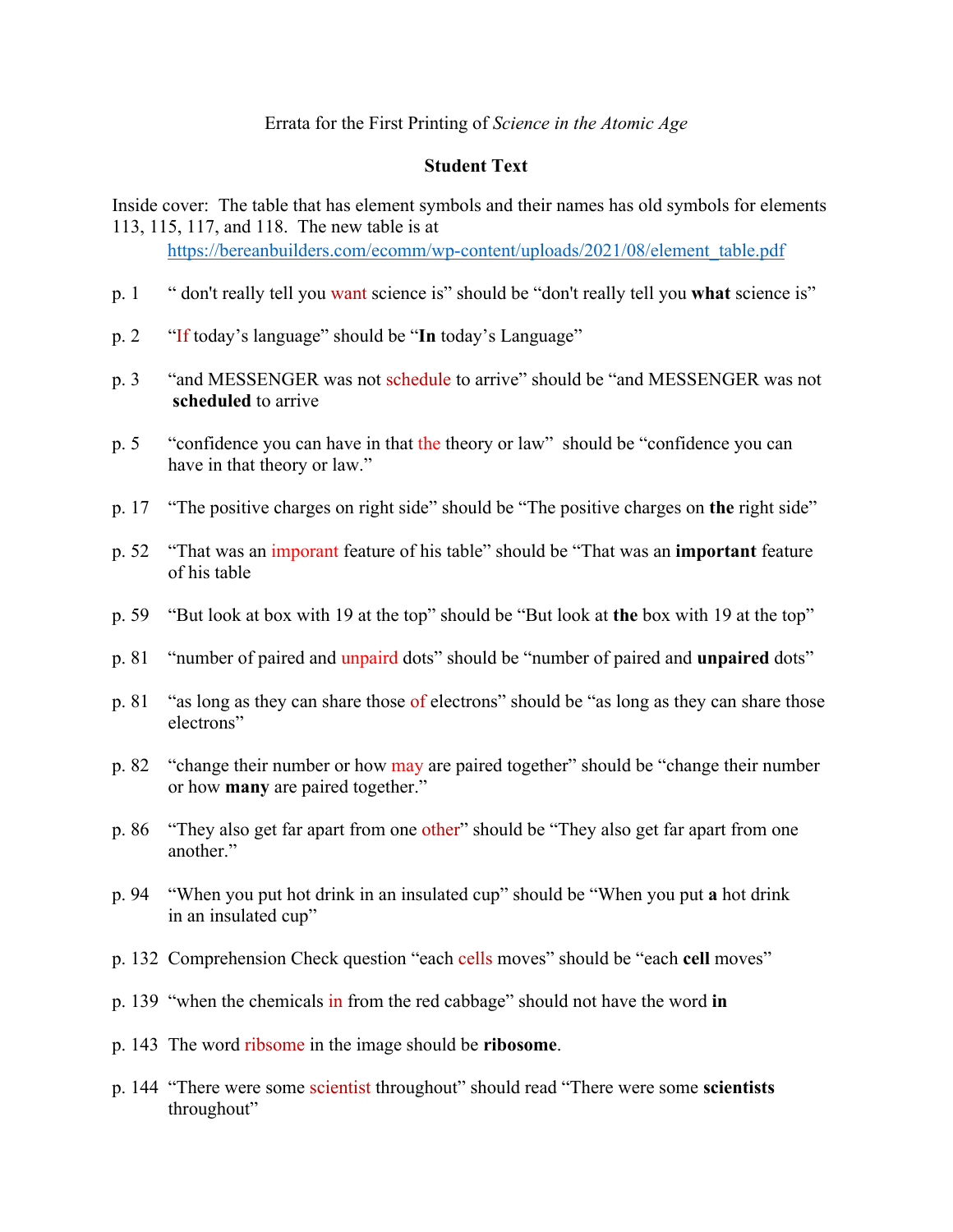## **Student Text**

Inside cover: The table that has element symbols and their names has old symbols for elements 113, 115, 117, and 118. The new table is at

https://bereanbuilders.com/ecomm/wp-content/uploads/2021/08/element\_table.pdf

- p. 1 " don't really tell you want science is" should be "don't really tell you **what** science is"
- p. 2 "If today's language" should be "**In** today's Language"
- p. 3 "and MESSENGER was not schedule to arrive" should be "and MESSENGER was not **scheduled** to arrive
- p. 5 "confidence you can have in that the theory or law" should be "confidence you can have in that theory or law."
- p. 17 "The positive charges on right side" should be "The positive charges on **the** right side"
- p. 52 "That was an imporant feature of his table" should be "That was an **important** feature of his table
- p. 59 "But look at box with 19 at the top" should be "But look at **the** box with 19 at the top"
- p. 81 "number of paired and unpaird dots" should be "number of paired and **unpaired** dots"
- p. 81 "as long as they can share those of electrons" should be "as long as they can share those electrons"
- p. 82 "change their number or how may are paired together" should be "change their number or how **many** are paired together."
- p. 86 "They also get far apart from one other" should be "They also get far apart from one another."
- p. 94 "When you put hot drink in an insulated cup" should be "When you put **a** hot drink in an insulated cup"
- p. 132 Comprehension Check question "each cells moves" should be "each **cell** moves"
- p. 139 "when the chemicals in from the red cabbage" should not have the word **in**
- p. 143 The word ribsome in the image should be **ribosome**.
- p. 144 "There were some scientist throughout" should read "There were some **scientists** throughout"